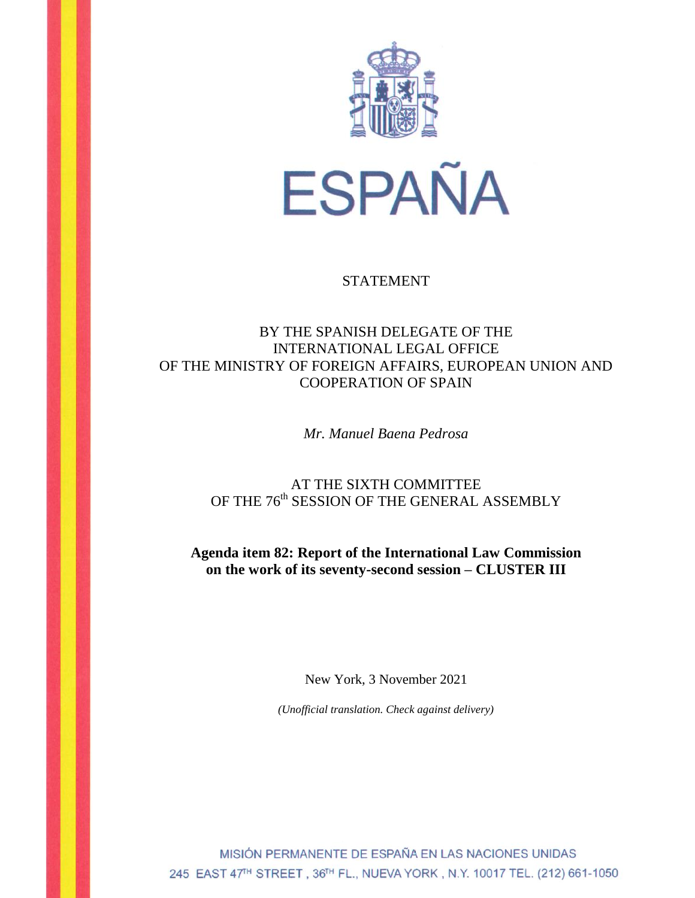

### STATEMENT

# BY THE SPANISH DELEGATE OF THE INTERNATIONAL LEGAL OFFICE OF THE MINISTRY OF FOREIGN AFFAIRS, EUROPEAN UNION AND COOPERATION OF SPAIN

*Mr. Manuel Baena Pedrosa*

# AT THE SIXTH COMMITTEE OF THE 76<sup>th</sup> SESSION OF THE GENERAL ASSEMBLY

**Agenda item 82: Report of the International Law Commission on the work of its seventy-second session – CLUSTER III**

New York, 3 November 2021

*(Unofficial translation. Check against delivery)*

MISIÓN PERMANENTE DE ESPAÑA EN LAS NACIONES UNIDAS 245 EAST 47<sup>TH</sup> STREET, 36TH FL., NUEVA YORK, N.Y. 10017 TEL. (212) 661-1050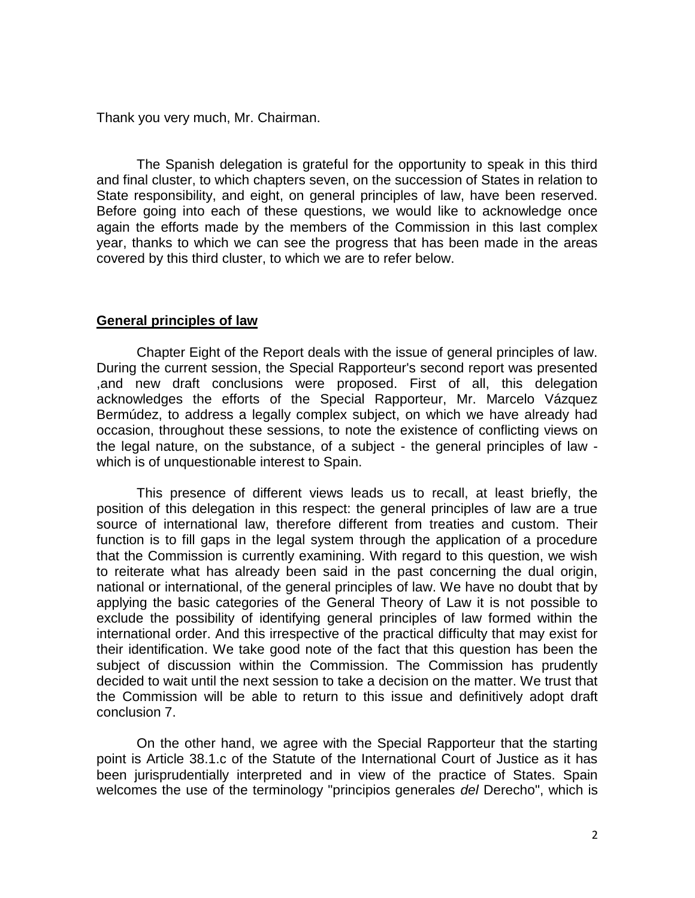Thank you very much, Mr. Chairman.

The Spanish delegation is grateful for the opportunity to speak in this third and final cluster, to which chapters seven, on the succession of States in relation to State responsibility, and eight, on general principles of law, have been reserved. Before going into each of these questions, we would like to acknowledge once again the efforts made by the members of the Commission in this last complex year, thanks to which we can see the progress that has been made in the areas covered by this third cluster, to which we are to refer below.

#### **General principles of law**

Chapter Eight of the Report deals with the issue of general principles of law. During the current session, the Special Rapporteur's second report was presented ,and new draft conclusions were proposed. First of all, this delegation acknowledges the efforts of the Special Rapporteur, Mr. Marcelo Vázquez Bermúdez, to address a legally complex subject, on which we have already had occasion, throughout these sessions, to note the existence of conflicting views on the legal nature, on the substance, of a subject - the general principles of law which is of unquestionable interest to Spain.

This presence of different views leads us to recall, at least briefly, the position of this delegation in this respect: the general principles of law are a true source of international law, therefore different from treaties and custom. Their function is to fill gaps in the legal system through the application of a procedure that the Commission is currently examining. With regard to this question, we wish to reiterate what has already been said in the past concerning the dual origin, national or international, of the general principles of law. We have no doubt that by applying the basic categories of the General Theory of Law it is not possible to exclude the possibility of identifying general principles of law formed within the international order. And this irrespective of the practical difficulty that may exist for their identification. We take good note of the fact that this question has been the subject of discussion within the Commission. The Commission has prudently decided to wait until the next session to take a decision on the matter. We trust that the Commission will be able to return to this issue and definitively adopt draft conclusion 7.

On the other hand, we agree with the Special Rapporteur that the starting point is Article 38.1.c of the Statute of the International Court of Justice as it has been jurisprudentially interpreted and in view of the practice of States. Spain welcomes the use of the terminology "principios generales *del* Derecho", which is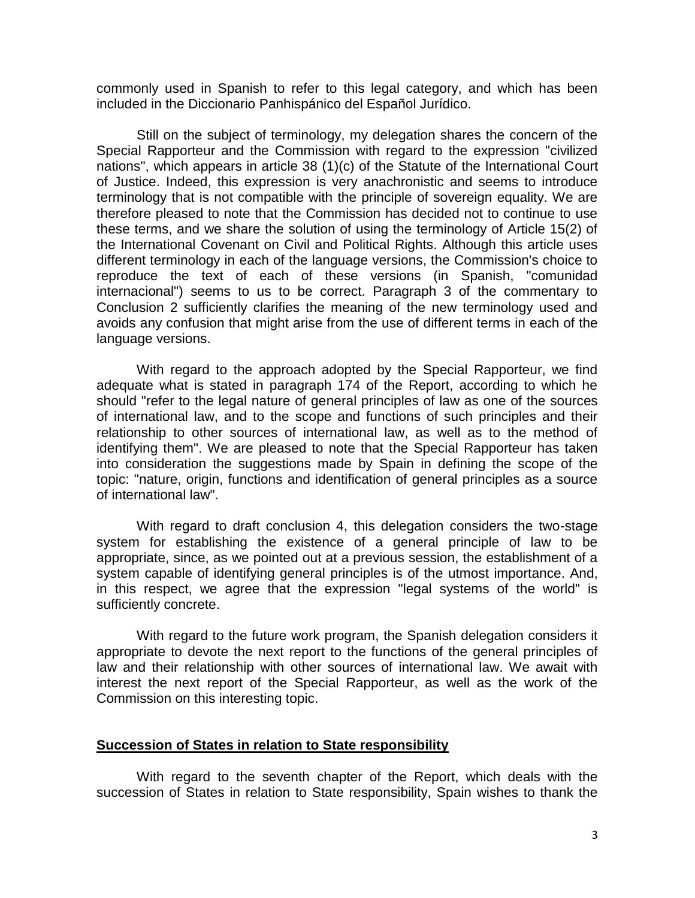commonly used in Spanish to refer to this legal category, and which has been included in the Diccionario Panhispánico del Español Jurídico.

Still on the subject of terminology, my delegation shares the concern of the Special Rapporteur and the Commission with regard to the expression "civilized nations", which appears in article 38 (1)(c) of the Statute of the International Court of Justice. Indeed, this expression is very anachronistic and seems to introduce terminology that is not compatible with the principle of sovereign equality. We are therefore pleased to note that the Commission has decided not to continue to use these terms, and we share the solution of using the terminology of Article 15(2) of the International Covenant on Civil and Political Rights. Although this article uses different terminology in each of the language versions, the Commission's choice to reproduce the text of each of these versions (in Spanish, "comunidad internacional") seems to us to be correct. Paragraph 3 of the commentary to Conclusion 2 sufficiently clarifies the meaning of the new terminology used and avoids any confusion that might arise from the use of different terms in each of the language versions.

With regard to the approach adopted by the Special Rapporteur, we find adequate what is stated in paragraph 174 of the Report, according to which he should "refer to the legal nature of general principles of law as one of the sources of international law, and to the scope and functions of such principles and their relationship to other sources of international law, as well as to the method of identifying them". We are pleased to note that the Special Rapporteur has taken into consideration the suggestions made by Spain in defining the scope of the topic: "nature, origin, functions and identification of general principles as a source of international law".

With regard to draft conclusion 4, this delegation considers the two-stage system for establishing the existence of a general principle of law to be appropriate, since, as we pointed out at a previous session, the establishment of a system capable of identifying general principles is of the utmost importance. And, in this respect, we agree that the expression "legal systems of the world" is sufficiently concrete.

With regard to the future work program, the Spanish delegation considers it appropriate to devote the next report to the functions of the general principles of law and their relationship with other sources of international law. We await with interest the next report of the Special Rapporteur, as well as the work of the Commission on this interesting topic.

#### **Succession of States in relation to State responsibility**

With regard to the seventh chapter of the Report, which deals with the succession of States in relation to State responsibility, Spain wishes to thank the